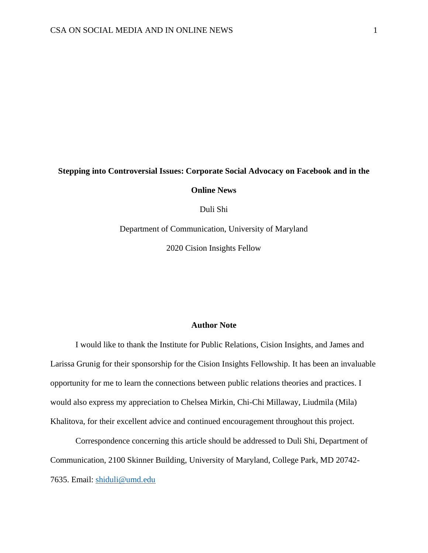# **Stepping into Controversial Issues: Corporate Social Advocacy on Facebook and in the**

**Online News**

Duli Shi

Department of Communication, University of Maryland

2020 Cision Insights Fellow

## **Author Note**

I would like to thank the Institute for Public Relations, Cision Insights, and James and Larissa Grunig for their sponsorship for the Cision Insights Fellowship. It has been an invaluable opportunity for me to learn the connections between public relations theories and practices. I would also express my appreciation to Chelsea Mirkin, Chi-Chi Millaway, Liudmila (Mila) Khalitova, for their excellent advice and continued encouragement throughout this project.

Correspondence concerning this article should be addressed to Duli Shi, Department of Communication, 2100 Skinner Building, University of Maryland, College Park, MD 20742- 7635. Email: [shiduli@umd.edu](mailto:shiduli@umd.edu)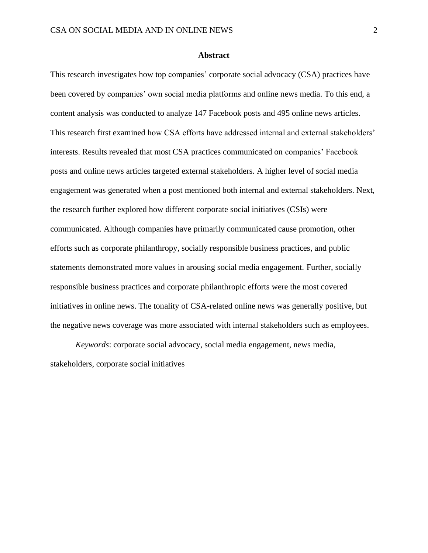#### **Abstract**

This research investigates how top companies' corporate social advocacy (CSA) practices have been covered by companies' own social media platforms and online news media. To this end, a content analysis was conducted to analyze 147 Facebook posts and 495 online news articles. This research first examined how CSA efforts have addressed internal and external stakeholders' interests. Results revealed that most CSA practices communicated on companies' Facebook posts and online news articles targeted external stakeholders. A higher level of social media engagement was generated when a post mentioned both internal and external stakeholders. Next, the research further explored how different corporate social initiatives (CSIs) were communicated. Although companies have primarily communicated cause promotion, other efforts such as corporate philanthropy, socially responsible business practices, and public statements demonstrated more values in arousing social media engagement. Further, socially responsible business practices and corporate philanthropic efforts were the most covered initiatives in online news. The tonality of CSA-related online news was generally positive, but the negative news coverage was more associated with internal stakeholders such as employees.

*Keywords*: corporate social advocacy, social media engagement, news media, stakeholders, corporate social initiatives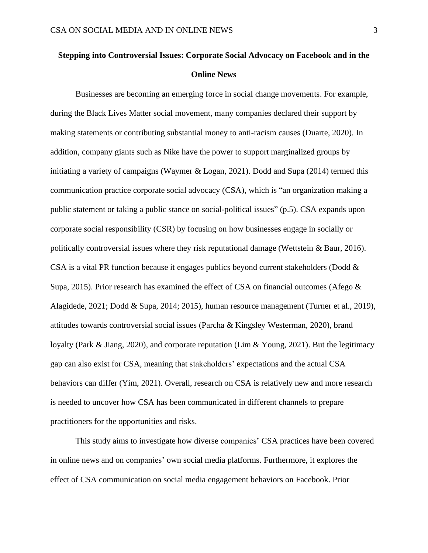# **Stepping into Controversial Issues: Corporate Social Advocacy on Facebook and in the Online News**

Businesses are becoming an emerging force in social change movements. For example, during the Black Lives Matter social movement, many companies declared their support by making statements or contributing substantial money to anti-racism causes (Duarte, 2020). In addition, company giants such as Nike have the power to support marginalized groups by initiating a variety of campaigns (Waymer & Logan, 2021). Dodd and Supa (2014) termed this communication practice corporate social advocacy (CSA), which is "an organization making a public statement or taking a public stance on social-political issues" (p.5). CSA expands upon corporate social responsibility (CSR) by focusing on how businesses engage in socially or politically controversial issues where they risk reputational damage (Wettstein & Baur, 2016). CSA is a vital PR function because it engages publics beyond current stakeholders (Dodd & Supa, 2015). Prior research has examined the effect of CSA on financial outcomes (Afego  $\&$ Alagidede, 2021; Dodd & Supa, 2014; 2015), human resource management (Turner et al., 2019), attitudes towards controversial social issues (Parcha & Kingsley Westerman, 2020), brand loyalty (Park & Jiang, 2020), and corporate reputation (Lim & Young, 2021). But the legitimacy gap can also exist for CSA, meaning that stakeholders' expectations and the actual CSA behaviors can differ (Yim, 2021). Overall, research on CSA is relatively new and more research is needed to uncover how CSA has been communicated in different channels to prepare practitioners for the opportunities and risks.

This study aims to investigate how diverse companies' CSA practices have been covered in online news and on companies' own social media platforms. Furthermore, it explores the effect of CSA communication on social media engagement behaviors on Facebook. Prior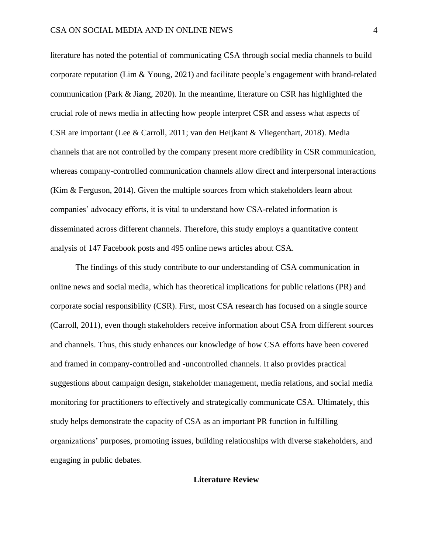literature has noted the potential of communicating CSA through social media channels to build corporate reputation (Lim & Young, 2021) and facilitate people's engagement with brand-related communication (Park & Jiang, 2020). In the meantime, literature on CSR has highlighted the crucial role of news media in affecting how people interpret CSR and assess what aspects of CSR are important (Lee & Carroll, 2011; van den Heijkant & Vliegenthart, 2018). Media channels that are not controlled by the company present more credibility in CSR communication, whereas company-controlled communication channels allow direct and interpersonal interactions (Kim & Ferguson, 2014). Given the multiple sources from which stakeholders learn about companies' advocacy efforts, it is vital to understand how CSA-related information is disseminated across different channels. Therefore, this study employs a quantitative content analysis of 147 Facebook posts and 495 online news articles about CSA.

The findings of this study contribute to our understanding of CSA communication in online news and social media, which has theoretical implications for public relations (PR) and corporate social responsibility (CSR). First, most CSA research has focused on a single source (Carroll, 2011), even though stakeholders receive information about CSA from different sources and channels. Thus, this study enhances our knowledge of how CSA efforts have been covered and framed in company-controlled and -uncontrolled channels. It also provides practical suggestions about campaign design, stakeholder management, media relations, and social media monitoring for practitioners to effectively and strategically communicate CSA. Ultimately, this study helps demonstrate the capacity of CSA as an important PR function in fulfilling organizations' purposes, promoting issues, building relationships with diverse stakeholders, and engaging in public debates.

## **Literature Review**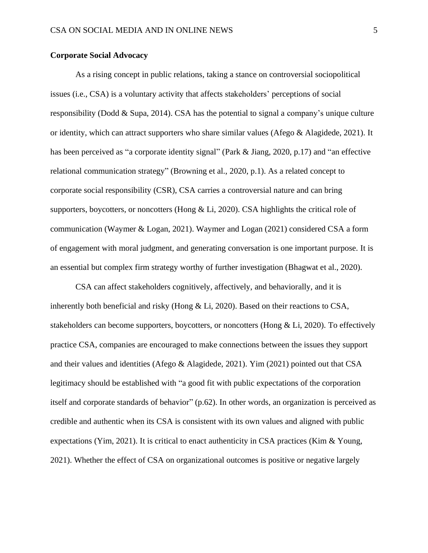## **Corporate Social Advocacy**

As a rising concept in public relations, taking a stance on controversial sociopolitical issues (i.e., CSA) is a voluntary activity that affects stakeholders' perceptions of social responsibility (Dodd & Supa, 2014). CSA has the potential to signal a company's unique culture or identity, which can attract supporters who share similar values (Afego & Alagidede, 2021). It has been perceived as "a corporate identity signal" (Park & Jiang, 2020, p.17) and "an effective relational communication strategy" (Browning et al., 2020, p.1). As a related concept to corporate social responsibility (CSR), CSA carries a controversial nature and can bring supporters, boycotters, or noncotters (Hong & Li, 2020). CSA highlights the critical role of communication (Waymer & Logan, 2021). Waymer and Logan (2021) considered CSA a form of engagement with moral judgment, and generating conversation is one important purpose. It is an essential but complex firm strategy worthy of further investigation (Bhagwat et al., 2020).

CSA can affect stakeholders cognitively, affectively, and behaviorally, and it is inherently both beneficial and risky (Hong  $&$  Li, 2020). Based on their reactions to CSA, stakeholders can become supporters, boycotters, or noncotters (Hong & Li, 2020). To effectively practice CSA, companies are encouraged to make connections between the issues they support and their values and identities (Afego & Alagidede, 2021). Yim (2021) pointed out that CSA legitimacy should be established with "a good fit with public expectations of the corporation itself and corporate standards of behavior" (p.62). In other words, an organization is perceived as credible and authentic when its CSA is consistent with its own values and aligned with public expectations (Yim, 2021). It is critical to enact authenticity in CSA practices (Kim & Young, 2021). Whether the effect of CSA on organizational outcomes is positive or negative largely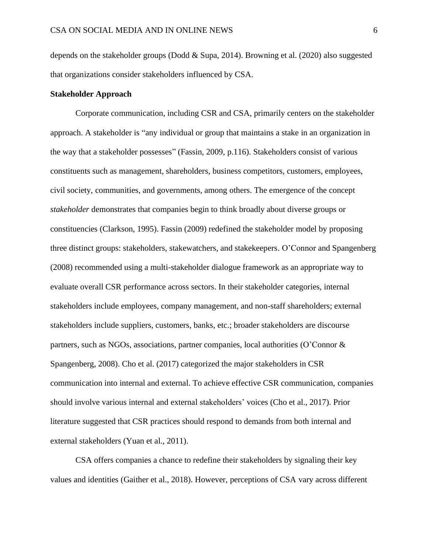depends on the stakeholder groups (Dodd & Supa, 2014). Browning et al. (2020) also suggested that organizations consider stakeholders influenced by CSA.

## **Stakeholder Approach**

Corporate communication, including CSR and CSA, primarily centers on the stakeholder approach. A stakeholder is "any individual or group that maintains a stake in an organization in the way that a stakeholder possesses" (Fassin, 2009, p.116). Stakeholders consist of various constituents such as management, shareholders, business competitors, customers, employees, civil society, communities, and governments, among others. The emergence of the concept *stakeholder* demonstrates that companies begin to think broadly about diverse groups or constituencies (Clarkson, 1995). Fassin (2009) redefined the stakeholder model by proposing three distinct groups: stakeholders, stakewatchers, and stakekeepers. O'Connor and Spangenberg (2008) recommended using a multi-stakeholder dialogue framework as an appropriate way to evaluate overall CSR performance across sectors. In their stakeholder categories, internal stakeholders include employees, company management, and non-staff shareholders; external stakeholders include suppliers, customers, banks, etc.; broader stakeholders are discourse partners, such as NGOs, associations, partner companies, local authorities (O'Connor & Spangenberg, 2008). Cho et al. (2017) categorized the major stakeholders in CSR communication into internal and external. To achieve effective CSR communication, companies should involve various internal and external stakeholders' voices (Cho et al., 2017). Prior literature suggested that CSR practices should respond to demands from both internal and external stakeholders (Yuan et al., 2011).

CSA offers companies a chance to redefine their stakeholders by signaling their key values and identities (Gaither et al., 2018). However, perceptions of CSA vary across different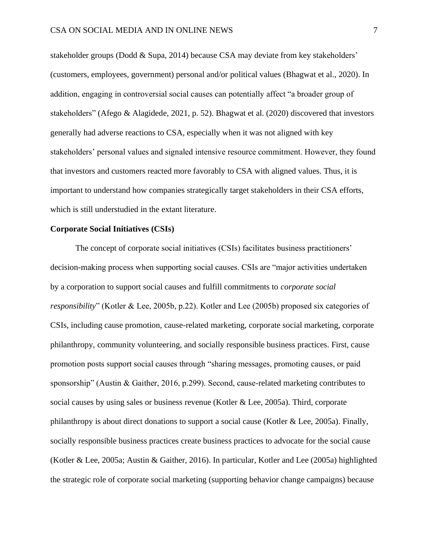stakeholder groups (Dodd & Supa, 2014) because CSA may deviate from key stakeholders' (customers, employees, government) personal and/or political values (Bhagwat et al., 2020). In addition, engaging in controversial social causes can potentially affect "a broader group of stakeholders" (Afego & Alagidede, 2021, p. 52). Bhagwat et al. (2020) discovered that investors generally had adverse reactions to CSA, especially when it was not aligned with key stakeholders' personal values and signaled intensive resource commitment. However, they found that investors and customers reacted more favorably to CSA with aligned values. Thus, it is important to understand how companies strategically target stakeholders in their CSA efforts, which is still understudied in the extant literature.

#### **Corporate Social Initiatives (CSIs)**

The concept of corporate social initiatives (CSIs) facilitates business practitioners' decision-making process when supporting social causes. CSIs are "major activities undertaken by a corporation to support social causes and fulfill commitments to *corporate social responsibility*" (Kotler & Lee, 2005b, p.22). Kotler and Lee (2005b) proposed six categories of CSIs, including cause promotion, cause-related marketing, corporate social marketing, corporate philanthropy, community volunteering, and socially responsible business practices. First, cause promotion posts support social causes through "sharing messages, promoting causes, or paid sponsorship" (Austin & Gaither, 2016, p.299). Second, cause-related marketing contributes to social causes by using sales or business revenue (Kotler & Lee, 2005a). Third, corporate philanthropy is about direct donations to support a social cause (Kotler & Lee, 2005a). Finally, socially responsible business practices create business practices to advocate for the social cause (Kotler & Lee, 2005a; Austin & Gaither, 2016). In particular, Kotler and Lee (2005a) highlighted the strategic role of corporate social marketing (supporting behavior change campaigns) because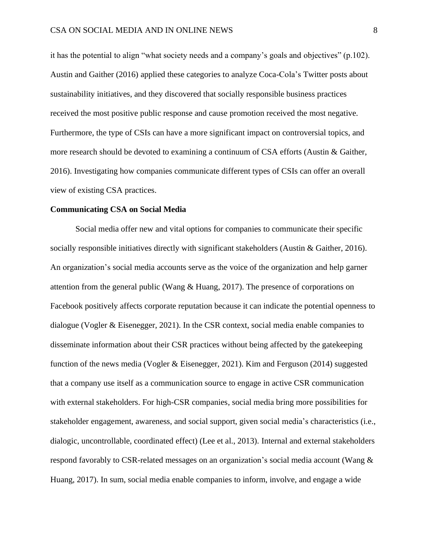it has the potential to align "what society needs and a company's goals and objectives" (p.102). Austin and Gaither (2016) applied these categories to analyze Coca-Cola's Twitter posts about sustainability initiatives, and they discovered that socially responsible business practices received the most positive public response and cause promotion received the most negative. Furthermore, the type of CSIs can have a more significant impact on controversial topics, and more research should be devoted to examining a continuum of CSA efforts (Austin & Gaither, 2016). Investigating how companies communicate different types of CSIs can offer an overall view of existing CSA practices.

#### **Communicating CSA on Social Media**

Social media offer new and vital options for companies to communicate their specific socially responsible initiatives directly with significant stakeholders (Austin & Gaither, 2016). An organization's social media accounts serve as the voice of the organization and help garner attention from the general public (Wang  $\&$  Huang, 2017). The presence of corporations on Facebook positively affects corporate reputation because it can indicate the potential openness to dialogue (Vogler & Eisenegger, 2021). In the CSR context, social media enable companies to disseminate information about their CSR practices without being affected by the gatekeeping function of the news media (Vogler & Eisenegger, 2021). Kim and Ferguson (2014) suggested that a company use itself as a communication source to engage in active CSR communication with external stakeholders. For high-CSR companies, social media bring more possibilities for stakeholder engagement, awareness, and social support, given social media's characteristics (i.e., dialogic, uncontrollable, coordinated effect) (Lee et al., 2013). Internal and external stakeholders respond favorably to CSR-related messages on an organization's social media account (Wang & Huang, 2017). In sum, social media enable companies to inform, involve, and engage a wide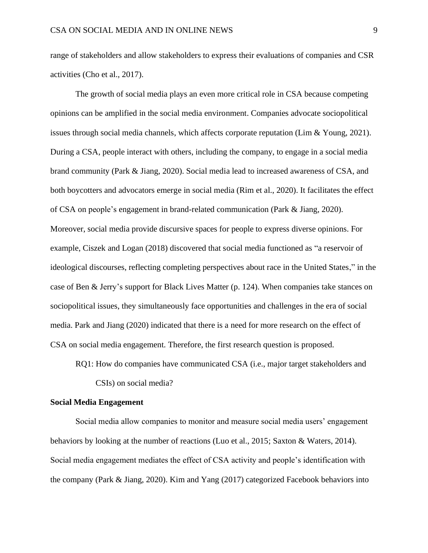range of stakeholders and allow stakeholders to express their evaluations of companies and CSR activities (Cho et al., 2017).

The growth of social media plays an even more critical role in CSA because competing opinions can be amplified in the social media environment. Companies advocate sociopolitical issues through social media channels, which affects corporate reputation (Lim & Young, 2021). During a CSA, people interact with others, including the company, to engage in a social media brand community (Park & Jiang, 2020). Social media lead to increased awareness of CSA, and both boycotters and advocators emerge in social media (Rim et al., 2020). It facilitates the effect of CSA on people's engagement in brand-related communication (Park & Jiang, 2020). Moreover, social media provide discursive spaces for people to express diverse opinions. For example, Ciszek and Logan (2018) discovered that social media functioned as "a reservoir of ideological discourses, reflecting completing perspectives about race in the United States," in the case of Ben & Jerry's support for Black Lives Matter (p. 124). When companies take stances on sociopolitical issues, they simultaneously face opportunities and challenges in the era of social media. Park and Jiang (2020) indicated that there is a need for more research on the effect of CSA on social media engagement. Therefore, the first research question is proposed.

RQ1: How do companies have communicated CSA (i.e., major target stakeholders and

CSIs) on social media?

## **Social Media Engagement**

Social media allow companies to monitor and measure social media users' engagement behaviors by looking at the number of reactions (Luo et al., 2015; Saxton & Waters, 2014). Social media engagement mediates the effect of CSA activity and people's identification with the company (Park & Jiang, 2020). Kim and Yang (2017) categorized Facebook behaviors into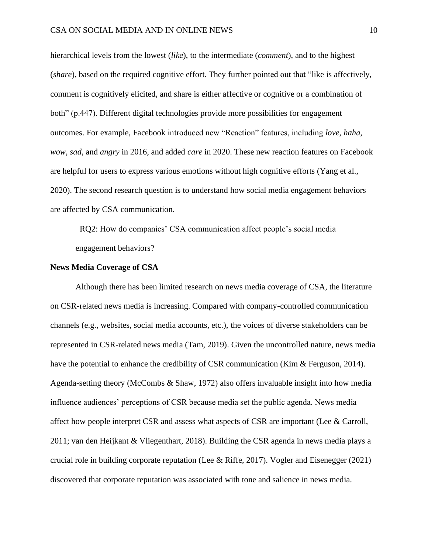hierarchical levels from the lowest (*like*), to the intermediate (*comment*), and to the highest (*share*), based on the required cognitive effort. They further pointed out that "like is affectively, comment is cognitively elicited, and share is either affective or cognitive or a combination of both" (p.447). Different digital technologies provide more possibilities for engagement outcomes. For example, Facebook introduced new "Reaction" features, including *love*, *haha*, *wow*, *sad*, and *angry* in 2016, and added *care* in 2020. These new reaction features on Facebook are helpful for users to express various emotions without high cognitive efforts (Yang et al., 2020). The second research question is to understand how social media engagement behaviors are affected by CSA communication.

 RQ2: How do companies' CSA communication affect people's social media engagement behaviors?

## **News Media Coverage of CSA**

Although there has been limited research on news media coverage of CSA, the literature on CSR-related news media is increasing. Compared with company-controlled communication channels (e.g., websites, social media accounts, etc.), the voices of diverse stakeholders can be represented in CSR-related news media (Tam, 2019). Given the uncontrolled nature, news media have the potential to enhance the credibility of CSR communication (Kim & Ferguson, 2014). Agenda-setting theory (McCombs & Shaw, 1972) also offers invaluable insight into how media influence audiences' perceptions of CSR because media set the public agenda. News media affect how people interpret CSR and assess what aspects of CSR are important (Lee & Carroll, 2011; van den Heijkant & Vliegenthart, 2018). Building the CSR agenda in news media plays a crucial role in building corporate reputation (Lee & Riffe, 2017). Vogler and Eisenegger (2021) discovered that corporate reputation was associated with tone and salience in news media.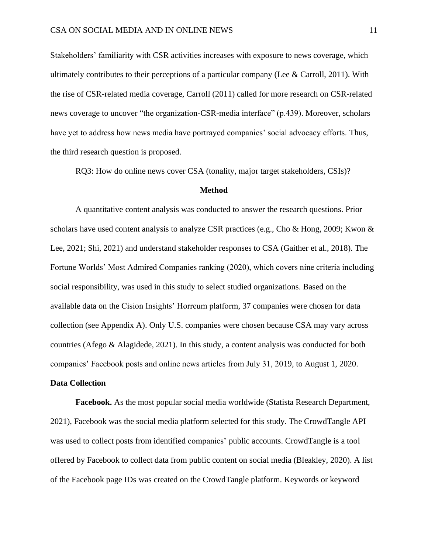Stakeholders' familiarity with CSR activities increases with exposure to news coverage, which ultimately contributes to their perceptions of a particular company (Lee & Carroll, 2011). With the rise of CSR-related media coverage, Carroll (2011) called for more research on CSR-related news coverage to uncover "the organization-CSR-media interface" (p.439). Moreover, scholars have yet to address how news media have portrayed companies' social advocacy efforts. Thus, the third research question is proposed.

RQ3: How do online news cover CSA (tonality, major target stakeholders, CSIs)?

#### **Method**

A quantitative content analysis was conducted to answer the research questions. Prior scholars have used content analysis to analyze CSR practices (e.g., Cho & Hong, 2009; Kwon & Lee, 2021; Shi, 2021) and understand stakeholder responses to CSA (Gaither et al., 2018). The Fortune Worlds' Most Admired Companies ranking (2020), which covers nine criteria including social responsibility, was used in this study to select studied organizations. Based on the available data on the Cision Insights' Horreum platform, 37 companies were chosen for data collection (see Appendix A). Only U.S. companies were chosen because CSA may vary across countries (Afego & Alagidede, 2021). In this study, a content analysis was conducted for both companies' Facebook posts and online news articles from July 31, 2019, to August 1, 2020.

## **Data Collection**

**Facebook.** As the most popular social media worldwide (Statista Research Department, 2021), Facebook was the social media platform selected for this study. The CrowdTangle API was used to collect posts from identified companies' public accounts. CrowdTangle is a tool offered by Facebook to collect data from public content on social media (Bleakley, 2020). A list of the Facebook page IDs was created on the CrowdTangle platform. Keywords or keyword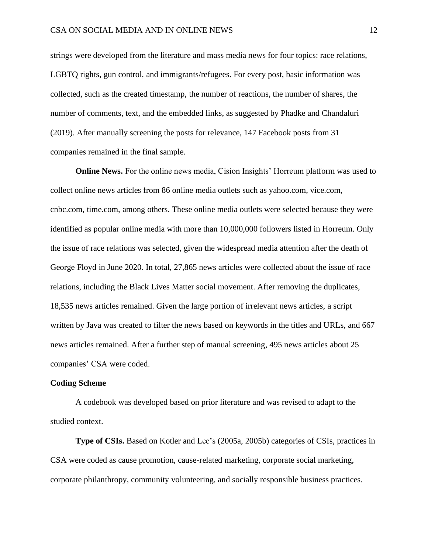strings were developed from the literature and mass media news for four topics: race relations, LGBTQ rights, gun control, and immigrants/refugees. For every post, basic information was collected, such as the created timestamp, the number of reactions, the number of shares, the number of comments, text, and the embedded links, as suggested by Phadke and Chandaluri (2019). After manually screening the posts for relevance, 147 Facebook posts from 31 companies remained in the final sample.

**Online News.** For the online news media, Cision Insights' Horreum platform was used to collect online news articles from 86 online media outlets such as yahoo.com, vice.com, cnbc.com, time.com, among others. These online media outlets were selected because they were identified as popular online media with more than 10,000,000 followers listed in Horreum. Only the issue of race relations was selected, given the widespread media attention after the death of George Floyd in June 2020. In total, 27,865 news articles were collected about the issue of race relations, including the Black Lives Matter social movement. After removing the duplicates, 18,535 news articles remained. Given the large portion of irrelevant news articles, a script written by Java was created to filter the news based on keywords in the titles and URLs, and 667 news articles remained. After a further step of manual screening, 495 news articles about 25 companies' CSA were coded.

#### **Coding Scheme**

A codebook was developed based on prior literature and was revised to adapt to the studied context.

**Type of CSIs.** Based on Kotler and Lee's (2005a, 2005b) categories of CSIs, practices in CSA were coded as cause promotion, cause-related marketing, corporate social marketing, corporate philanthropy, community volunteering, and socially responsible business practices.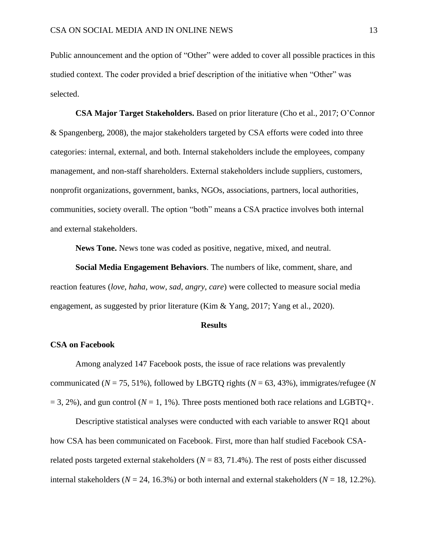Public announcement and the option of "Other" were added to cover all possible practices in this studied context. The coder provided a brief description of the initiative when "Other" was selected.

**CSA Major Target Stakeholders.** Based on prior literature (Cho et al., 2017; O'Connor & Spangenberg, 2008), the major stakeholders targeted by CSA efforts were coded into three categories: internal, external, and both. Internal stakeholders include the employees, company management, and non-staff shareholders. External stakeholders include suppliers, customers, nonprofit organizations, government, banks, NGOs, associations, partners, local authorities, communities, society overall. The option "both" means a CSA practice involves both internal and external stakeholders.

**News Tone.** News tone was coded as positive, negative, mixed, and neutral.

**Social Media Engagement Behaviors**. The numbers of like, comment, share, and reaction features (*love*, *haha*, *wow*, *sad*, *angry*, *care*) were collected to measure social media engagement, as suggested by prior literature (Kim & Yang, 2017; Yang et al., 2020).

#### **Results**

## **CSA on Facebook**

Among analyzed 147 Facebook posts, the issue of race relations was prevalently communicated (*N* = 75, 51%), followed by LBGTQ rights (*N* = 63, 43%), immigrates/refugee (*N*  $= 3, 2\%$ ), and gun control ( $N = 1, 1\%$ ). Three posts mentioned both race relations and LGBTQ+.

Descriptive statistical analyses were conducted with each variable to answer RQ1 about how CSA has been communicated on Facebook. First, more than half studied Facebook CSArelated posts targeted external stakeholders ( $N = 83, 71.4\%$ ). The rest of posts either discussed internal stakeholders ( $N = 24$ , 16.3%) or both internal and external stakeholders ( $N = 18$ , 12.2%).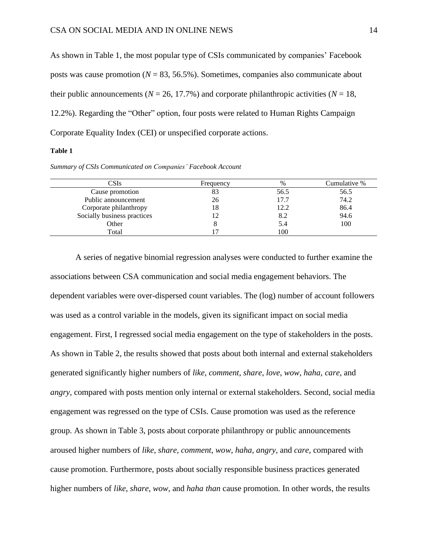As shown in Table 1, the most popular type of CSIs communicated by companies' Facebook posts was cause promotion (*N* = 83, 56.5%). Sometimes, companies also communicate about their public announcements ( $N = 26, 17.7\%$ ) and corporate philanthropic activities ( $N = 18$ , 12.2%). Regarding the "Other" option, four posts were related to Human Rights Campaign Corporate Equality Index (CEI) or unspecified corporate actions.

#### **Table 1**

*Summary of CSIs Communicated on Companies' Facebook Account*

| CSIs                        | Frequency | $\%$ | Cumulative % |
|-----------------------------|-----------|------|--------------|
| Cause promotion             |           | 56.5 | 56.5         |
| Public announcement         | 26        | 17.7 | 74.2         |
| Corporate philanthropy      | 18        | 12.2 | 86.4         |
| Socially business practices |           | 8.2  | 94.6         |
| Other                       |           | 5.4  | 100          |
| Total                       |           | 100  |              |

A series of negative binomial regression analyses were conducted to further examine the associations between CSA communication and social media engagement behaviors. The dependent variables were over-dispersed count variables. The (log) number of account followers was used as a control variable in the models, given its significant impact on social media engagement. First, I regressed social media engagement on the type of stakeholders in the posts. As shown in Table 2, the results showed that posts about both internal and external stakeholders generated significantly higher numbers of *like*, *comment*, *share*, *love*, *wow*, *haha, care*, and *angry*, compared with posts mention only internal or external stakeholders. Second, social media engagement was regressed on the type of CSIs. Cause promotion was used as the reference group. As shown in Table 3, posts about corporate philanthropy or public announcements aroused higher numbers of *like*, *share*, *comment*, *wow*, *haha*, *angry,* and *care*, compared with cause promotion. Furthermore, posts about socially responsible business practices generated higher numbers of *like*, *share*, *wow*, and *haha than* cause promotion. In other words, the results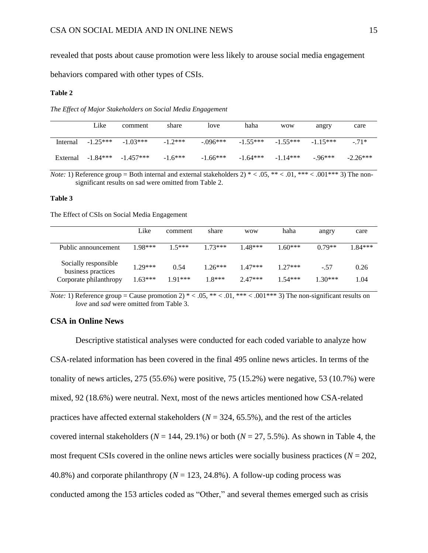revealed that posts about cause promotion were less likely to arouse social media engagement

behaviors compared with other types of CSIs.

#### **Table 2**

*The Effect of Major Stakeholders on Social Media Engagement*

|          | Like       | comment                | share     | love       | haha       | <b>WOW</b> | angry      | care       |
|----------|------------|------------------------|-----------|------------|------------|------------|------------|------------|
| Internal | $-1.25***$ | $-1.03***$             | $-1.2***$ | $-.096***$ | $-1.55***$ | $-1.55***$ | $-1.15***$ | $-71*$     |
| External |            | $-1.84***$ $-1.457***$ | $-1.6***$ | $-1.66***$ | $-1.64***$ | $-1.14***$ | $-96***$   | $-2.26***$ |

*Note:* 1) Reference group = Both internal and external stakeholders  $2$ ) \* < .05, \*\* < .01, \*\*\* < .001\*\*\* 3) The nonsignificant results on sad were omitted from Table 2.

#### **Table 3**

The Effect of CSIs on Social Media Engagement

|                                                                      | Like                   | comment           | share                 | <b>WOW</b>             | haha                   | angry               | care         |
|----------------------------------------------------------------------|------------------------|-------------------|-----------------------|------------------------|------------------------|---------------------|--------------|
| Public announcement                                                  | $1.98***$              | $15***$           | $1.73***$             | $1.48***$              | $.60***$               | $0.79**$            | $1.84***$    |
| Socially responsible<br>business practices<br>Corporate philanthropy | $1.29***$<br>$1.63***$ | 0.54<br>$1.91***$ | $1.26***$<br>$1.8***$ | $1.47***$<br>$2.47***$ | $1.27***$<br>$1.54***$ | $-.57$<br>$1.30***$ | 0.26<br>1.04 |

*Note:* 1) Reference group = Cause promotion 2)  $* < .05$ ,  $** < .01$ ,  $*** < .001***$  3) The non-significant results on *love* and *sad* were omitted from Table 3.

#### **CSA in Online News**

Descriptive statistical analyses were conducted for each coded variable to analyze how CSA-related information has been covered in the final 495 online news articles. In terms of the tonality of news articles, 275 (55.6%) were positive, 75 (15.2%) were negative, 53 (10.7%) were mixed, 92 (18.6%) were neutral. Next, most of the news articles mentioned how CSA-related practices have affected external stakeholders ( $N = 324, 65.5\%$ ), and the rest of the articles covered internal stakeholders ( $N = 144, 29.1\%$ ) or both ( $N = 27, 5.5\%$ ). As shown in Table 4, the most frequent CSIs covered in the online news articles were socially business practices ( $N = 202$ , 40.8%) and corporate philanthropy ( $N = 123, 24.8\%$ ). A follow-up coding process was conducted among the 153 articles coded as "Other," and several themes emerged such as crisis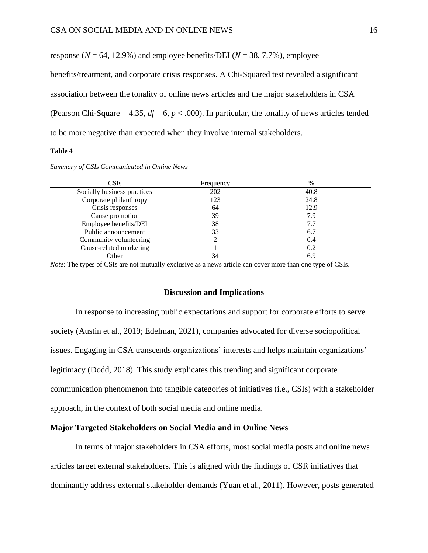response ( $N = 64$ , 12.9%) and employee benefits/DEI ( $N = 38$ , 7.7%), employee benefits/treatment, and corporate crisis responses. A Chi-Squared test revealed a significant association between the tonality of online news articles and the major stakeholders in CSA (Pearson Chi-Square = 4.35,  $df = 6$ ,  $p < .000$ ). In particular, the tonality of news articles tended to be more negative than expected when they involve internal stakeholders.

#### **Table 4**

| Summary of CSIs Communicated in Online News |  |  |  |  |
|---------------------------------------------|--|--|--|--|
|                                             |  |  |  |  |

| CSIs                        | Frequency | $\%$ |  |
|-----------------------------|-----------|------|--|
| Socially business practices | 202       | 40.8 |  |
| Corporate philanthropy      | 123       | 24.8 |  |
| Crisis responses            | 64        | 12.9 |  |
| Cause promotion             | 39        | 7.9  |  |
| Employee benefits/DEI       | 38        | 7.7  |  |
| Public announcement         | 33        | 6.7  |  |
| Community volunteering      |           | 0.4  |  |
| Cause-related marketing     |           | 0.2  |  |
| Other                       | 34        | 6.9  |  |

*Note*: The types of CSIs are not mutually exclusive as a news article can cover more than one type of CSIs.

#### **Discussion and Implications**

In response to increasing public expectations and support for corporate efforts to serve society (Austin et al., 2019; Edelman, 2021), companies advocated for diverse sociopolitical issues. Engaging in CSA transcends organizations' interests and helps maintain organizations' legitimacy (Dodd, 2018). This study explicates this trending and significant corporate communication phenomenon into tangible categories of initiatives (i.e., CSIs) with a stakeholder approach, in the context of both social media and online media.

## **Major Targeted Stakeholders on Social Media and in Online News**

In terms of major stakeholders in CSA efforts, most social media posts and online news articles target external stakeholders. This is aligned with the findings of CSR initiatives that dominantly address external stakeholder demands (Yuan et al., 2011). However, posts generated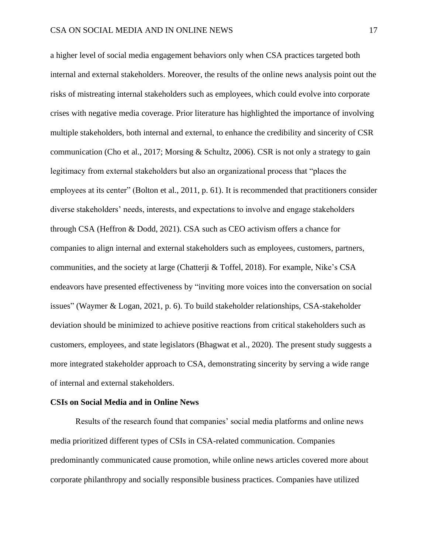a higher level of social media engagement behaviors only when CSA practices targeted both internal and external stakeholders. Moreover, the results of the online news analysis point out the risks of mistreating internal stakeholders such as employees, which could evolve into corporate crises with negative media coverage. Prior literature has highlighted the importance of involving multiple stakeholders, both internal and external, to enhance the credibility and sincerity of CSR communication (Cho et al., 2017; Morsing & Schultz, 2006). CSR is not only a strategy to gain legitimacy from external stakeholders but also an organizational process that "places the employees at its center" (Bolton et al., 2011, p. 61). It is recommended that practitioners consider diverse stakeholders' needs, interests, and expectations to involve and engage stakeholders through CSA (Heffron & Dodd, 2021). CSA such as CEO activism offers a chance for companies to align internal and external stakeholders such as employees, customers, partners, communities, and the society at large (Chatterji & Toffel, 2018). For example, Nike's CSA endeavors have presented effectiveness by "inviting more voices into the conversation on social issues" (Waymer & Logan, 2021, p. 6). To build stakeholder relationships, CSA-stakeholder deviation should be minimized to achieve positive reactions from critical stakeholders such as customers, employees, and state legislators (Bhagwat et al., 2020). The present study suggests a more integrated stakeholder approach to CSA, demonstrating sincerity by serving a wide range of internal and external stakeholders.

#### **CSIs on Social Media and in Online News**

Results of the research found that companies' social media platforms and online news media prioritized different types of CSIs in CSA-related communication. Companies predominantly communicated cause promotion, while online news articles covered more about corporate philanthropy and socially responsible business practices. Companies have utilized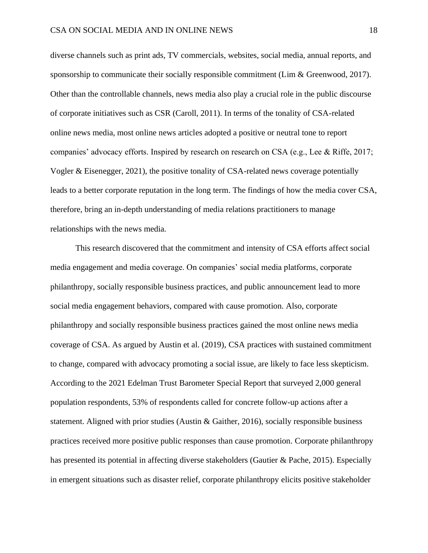diverse channels such as print ads, TV commercials, websites, social media, annual reports, and sponsorship to communicate their socially responsible commitment (Lim & Greenwood, 2017). Other than the controllable channels, news media also play a crucial role in the public discourse of corporate initiatives such as CSR (Caroll, 2011). In terms of the tonality of CSA-related online news media, most online news articles adopted a positive or neutral tone to report companies' advocacy efforts. Inspired by research on research on CSA (e.g., Lee & Riffe, 2017; Vogler & Eisenegger, 2021), the positive tonality of CSA-related news coverage potentially leads to a better corporate reputation in the long term. The findings of how the media cover CSA, therefore, bring an in-depth understanding of media relations practitioners to manage relationships with the news media.

This research discovered that the commitment and intensity of CSA efforts affect social media engagement and media coverage. On companies' social media platforms, corporate philanthropy, socially responsible business practices, and public announcement lead to more social media engagement behaviors, compared with cause promotion. Also, corporate philanthropy and socially responsible business practices gained the most online news media coverage of CSA. As argued by Austin et al. (2019), CSA practices with sustained commitment to change, compared with advocacy promoting a social issue, are likely to face less skepticism. According to the 2021 Edelman Trust Barometer Special Report that surveyed 2,000 general population respondents, 53% of respondents called for concrete follow-up actions after a statement. Aligned with prior studies (Austin & Gaither, 2016), socially responsible business practices received more positive public responses than cause promotion. Corporate philanthropy has presented its potential in affecting diverse stakeholders (Gautier & Pache, 2015). Especially in emergent situations such as disaster relief, corporate philanthropy elicits positive stakeholder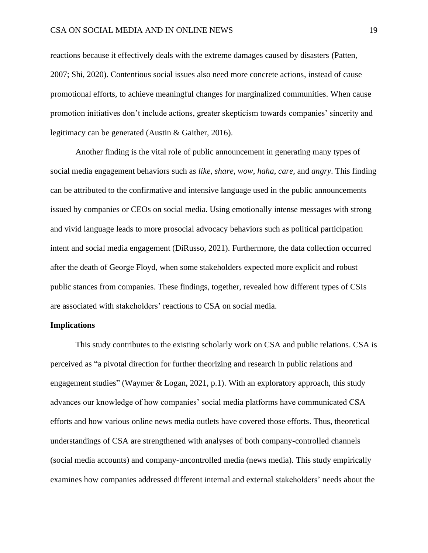reactions because it effectively deals with the extreme damages caused by disasters (Patten, 2007; Shi, 2020). Contentious social issues also need more concrete actions, instead of cause promotional efforts, to achieve meaningful changes for marginalized communities. When cause promotion initiatives don't include actions, greater skepticism towards companies' sincerity and legitimacy can be generated (Austin & Gaither, 2016).

Another finding is the vital role of public announcement in generating many types of social media engagement behaviors such as *like*, *share*, *wow*, *haha*, *care,* and *angry*. This finding can be attributed to the confirmative and intensive language used in the public announcements issued by companies or CEOs on social media. Using emotionally intense messages with strong and vivid language leads to more prosocial advocacy behaviors such as political participation intent and social media engagement (DiRusso, 2021). Furthermore, the data collection occurred after the death of George Floyd, when some stakeholders expected more explicit and robust public stances from companies. These findings, together, revealed how different types of CSIs are associated with stakeholders' reactions to CSA on social media.

## **Implications**

This study contributes to the existing scholarly work on CSA and public relations. CSA is perceived as "a pivotal direction for further theorizing and research in public relations and engagement studies" (Waymer & Logan, 2021, p.1). With an exploratory approach, this study advances our knowledge of how companies' social media platforms have communicated CSA efforts and how various online news media outlets have covered those efforts. Thus, theoretical understandings of CSA are strengthened with analyses of both company-controlled channels (social media accounts) and company-uncontrolled media (news media). This study empirically examines how companies addressed different internal and external stakeholders' needs about the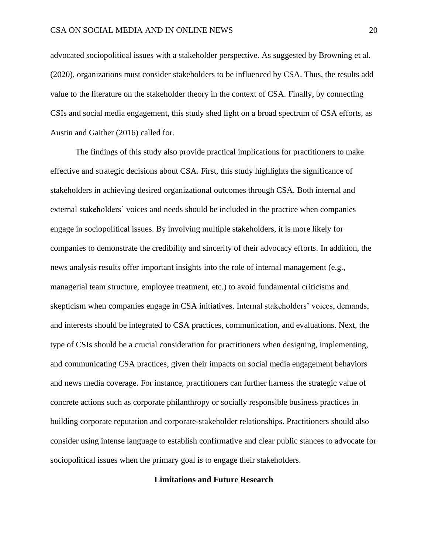advocated sociopolitical issues with a stakeholder perspective. As suggested by Browning et al. (2020), organizations must consider stakeholders to be influenced by CSA. Thus, the results add value to the literature on the stakeholder theory in the context of CSA. Finally, by connecting CSIs and social media engagement, this study shed light on a broad spectrum of CSA efforts, as Austin and Gaither (2016) called for.

The findings of this study also provide practical implications for practitioners to make effective and strategic decisions about CSA. First, this study highlights the significance of stakeholders in achieving desired organizational outcomes through CSA. Both internal and external stakeholders' voices and needs should be included in the practice when companies engage in sociopolitical issues. By involving multiple stakeholders, it is more likely for companies to demonstrate the credibility and sincerity of their advocacy efforts. In addition, the news analysis results offer important insights into the role of internal management (e.g., managerial team structure, employee treatment, etc.) to avoid fundamental criticisms and skepticism when companies engage in CSA initiatives. Internal stakeholders' voices, demands, and interests should be integrated to CSA practices, communication, and evaluations. Next, the type of CSIs should be a crucial consideration for practitioners when designing, implementing, and communicating CSA practices, given their impacts on social media engagement behaviors and news media coverage. For instance, practitioners can further harness the strategic value of concrete actions such as corporate philanthropy or socially responsible business practices in building corporate reputation and corporate-stakeholder relationships. Practitioners should also consider using intense language to establish confirmative and clear public stances to advocate for sociopolitical issues when the primary goal is to engage their stakeholders.

## **Limitations and Future Research**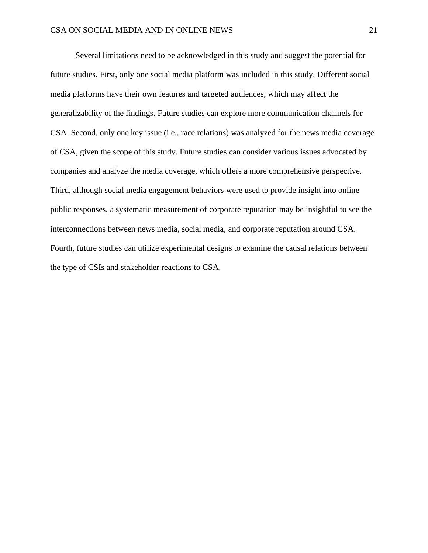Several limitations need to be acknowledged in this study and suggest the potential for future studies. First, only one social media platform was included in this study. Different social media platforms have their own features and targeted audiences, which may affect the generalizability of the findings. Future studies can explore more communication channels for CSA. Second, only one key issue (i.e., race relations) was analyzed for the news media coverage of CSA, given the scope of this study. Future studies can consider various issues advocated by companies and analyze the media coverage, which offers a more comprehensive perspective. Third, although social media engagement behaviors were used to provide insight into online public responses, a systematic measurement of corporate reputation may be insightful to see the interconnections between news media, social media, and corporate reputation around CSA. Fourth, future studies can utilize experimental designs to examine the causal relations between the type of CSIs and stakeholder reactions to CSA.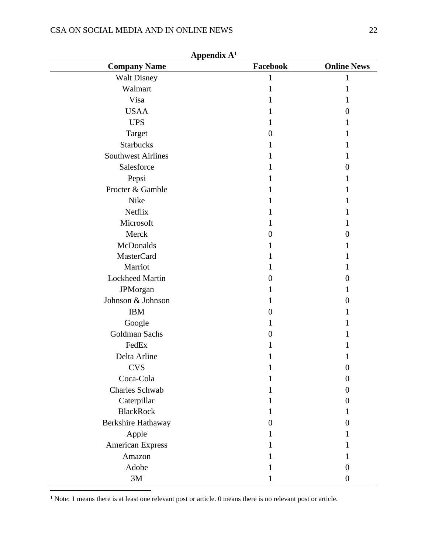# CSA ON SOCIAL MEDIA AND IN ONLINE NEWS 22

| Аррениіх А<br><b>Company Name</b> | Facebook | <b>Online News</b> |
|-----------------------------------|----------|--------------------|
| <b>Walt Disney</b>                | 1        | 1                  |
| Walmart                           | 1        | 1                  |
| Visa                              |          |                    |
| <b>USAA</b>                       |          | $\theta$           |
| <b>UPS</b>                        |          |                    |
| Target                            | 0        |                    |
| <b>Starbucks</b>                  | 1        |                    |
| <b>Southwest Airlines</b>         | 1        | 1                  |
| Salesforce                        | 1        | $_{0}$             |
| Pepsi                             |          | I                  |
| Procter & Gamble                  |          |                    |
| Nike                              | 1        |                    |
| Netflix                           | 1        | L                  |
| Microsoft                         | 1        |                    |
| Merck                             | 0        | $_{0}$             |
| McDonalds                         | 1        | $\mathbf{I}$       |
| MasterCard                        |          |                    |
| Marriot                           | 1        |                    |
| <b>Lockheed Martin</b>            | 0        | 0                  |
| <b>JPMorgan</b>                   |          |                    |
| Johnson & Johnson                 | 1        | 0                  |
| <b>IBM</b>                        | 0        |                    |
| Google                            | 1        |                    |
| Goldman Sachs                     | 0        |                    |
| FedEx                             |          |                    |
| Delta Arline                      |          |                    |
| <b>CVS</b>                        |          |                    |
| Coca-Cola                         |          | $\overline{0}$     |
| Charles Schwab                    | 1        | $\Omega$           |
| Caterpillar                       |          | $\theta$           |
| <b>BlackRock</b>                  |          |                    |
| Berkshire Hathaway                | 0        | $\Omega$           |
| Apple                             | ı        | L                  |
| American Express                  |          |                    |
| Amazon                            |          |                    |
| Adobe                             |          | $\theta$           |
| $3\mathbf{M}$                     |          | $\boldsymbol{0}$   |

 $A$ ppendix  $A<sup>1</sup>$ 

<sup>1</sup> Note: 1 means there is at least one relevant post or article. 0 means there is no relevant post or article.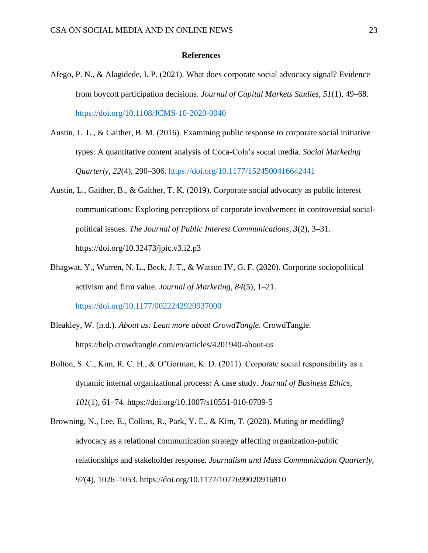#### **References**

- Afego, P. N., & Alagidede, I. P. (2021). What does corporate social advocacy signal? Evidence from boycott participation decisions. *Journal of Capital Markets Studies, 51*(1), 49–68. <https://doi.org/10.1108/JCMS-10-2020-0040>
- Austin, L. L., & Gaither, B. M. (2016). Examining public response to corporate social initiative types: A quantitative content analysis of Coca-Cola's social media. *Social Marketing Quarterly, 22*(4), 290–306. <https://doi.org/10.1177/1524500416642441>
- Austin, L., Gaither, B., & Gaither, T. K. (2019). Corporate social advocacy as public interest communications: Exploring perceptions of corporate involvement in controversial socialpolitical issues. *The Journal of Public Interest Communications, 3*(2), 3–31. https://doi.org/10.32473/jpic.v3.i2.p3
- Bhagwat, Y., Warren, N. L., Beck, J. T., & Watson IV, G. F. (2020). Corporate sociopolitical activism and firm value. *Journal of Marketing, 84*(5), 1–21. <https://doi.org/10.1177/0022242920937000>
- Bleakley, W. (n.d.). *About us: Lean more about CrowdTangle*. CrowdTangle. https://help.crowdtangle.com/en/articles/4201940-about-us
- Bolton, S. C., Kim, R. C. H., & O'Gorman, K. D. (2011). Corporate social responsibility as a dynamic internal organizational process: A case study. *Journal of Business Ethics, 101*(1), 61–74. https://doi.org/10.1007/s10551-010-0709-5
- Browning, N., Lee, E., Collins, R., Park, Y. E., & Kim, T. (2020). Muting or meddling? advocacy as a relational communication strategy affecting organization-public relationships and stakeholder response. *Journalism and Mass Communication Quarterly, 97*(4), 1026–1053. https://doi.org/10.1177/1077699020916810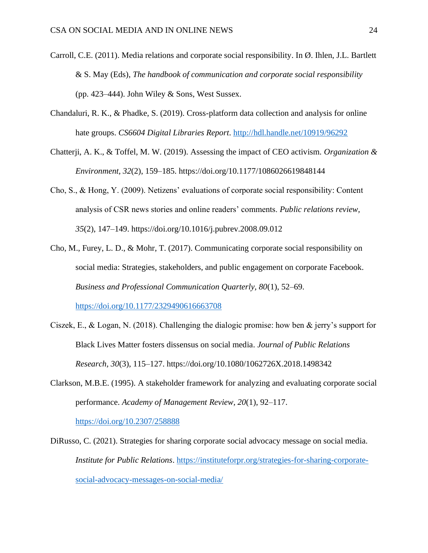- Carroll, C.E. (2011). Media relations and corporate social responsibility. In Ø. Ihlen, J.L. Bartlett & S. May (Eds), *The handbook of communication and corporate social responsibility* (pp. 423–444). John Wiley & Sons, West Sussex.
- Chandaluri, R. K., & Phadke, S. (2019). Cross-platform data collection and analysis for online hate groups. *CS6604 Digital Libraries Report*.<http://hdl.handle.net/10919/96292>
- Chatterji, A. K., & Toffel, M. W. (2019). Assessing the impact of CEO activism. *Organization & Environment, 32*(2), 159–185. https://doi.org/10.1177/1086026619848144
- Cho, S., & Hong, Y. (2009). Netizens' evaluations of corporate social responsibility: Content analysis of CSR news stories and online readers' comments. *Public relations review, 35*(2), 147–149. https://doi.org/10.1016/j.pubrev.2008.09.012
- Cho, M., Furey, L. D., & Mohr, T. (2017). Communicating corporate social responsibility on social media: Strategies, stakeholders, and public engagement on corporate Facebook. *Business and Professional Communication Quarterly, 80*(1), 52–69. <https://doi.org/10.1177/2329490616663708>
- Ciszek, E., & Logan, N. (2018). Challenging the dialogic promise: how ben & jerry's support for Black Lives Matter fosters dissensus on social media. *Journal of Public Relations Research, 30*(3), 115–127. https://doi.org/10.1080/1062726X.2018.1498342
- Clarkson, M.B.E. (1995). A stakeholder framework for analyzing and evaluating corporate social performance. *Academy of Management Review, 20*(1), 92–117. <https://doi.org/10.2307/258888>
- DiRusso, C. (2021). Strategies for sharing corporate social advocacy message on social media. *Institute for Public Relations*. [https://instituteforpr.org/strategies-for-sharing-corporate](https://instituteforpr.org/strategies-for-sharing-corporate-social-advocacy-messages-on-social-media/)[social-advocacy-messages-on-social-media/](https://instituteforpr.org/strategies-for-sharing-corporate-social-advocacy-messages-on-social-media/)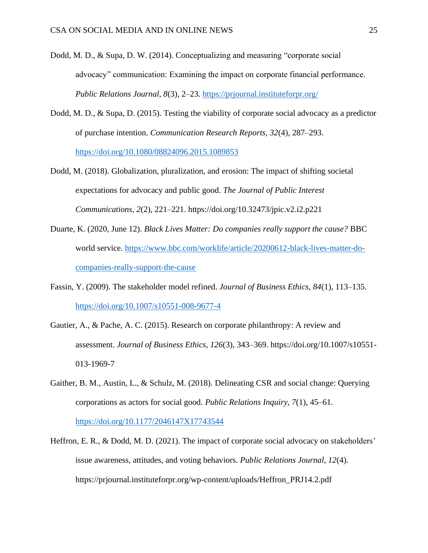- Dodd, M. D., & Supa, D. W. (2014). Conceptualizing and measuring "corporate social advocacy" communication: Examining the impact on corporate financial performance. *Public Relations Journal, 8*(3), 2–23.<https://prjournal.instituteforpr.org/>
- Dodd, M. D., & Supa, D. (2015). Testing the viability of corporate social advocacy as a predictor of purchase intention. *Communication Research Reports, 32*(4), 287–293. <https://doi.org/10.1080/08824096.2015.1089853>
- Dodd, M. (2018). Globalization, pluralization, and erosion: The impact of shifting societal expectations for advocacy and public good. *The Journal of Public Interest Communications, 2*(2), 221–221. https://doi.org/10.32473/jpic.v2.i2.p221
- Duarte, K. (2020, June 12). *Black Lives Matter: Do companies really support the cause?* BBC world service. [https://www.bbc.com/worklife/article/20200612-black-lives-matter-do](https://www.bbc.com/worklife/article/20200612-black-lives-matter-do-companies-really-support-the-cause)[companies-really-support-the-cause](https://www.bbc.com/worklife/article/20200612-black-lives-matter-do-companies-really-support-the-cause)
- Fassin, Y. (2009). The stakeholder model refined. *Journal of Business Ethics, 84*(1), 113–135. <https://doi.org/10.1007/s10551-008-9677-4>
- Gautier, A., & Pache, A. C. (2015). Research on corporate philanthropy: A review and assessment. *Journal of Business Ethics, 126*(3), 343–369. https://doi.org/10.1007/s10551- 013-1969-7
- Gaither, B. M., Austin, L., & Schulz, M. (2018). Delineating CSR and social change: Querying corporations as actors for social good. *Public Relations Inquiry, 7*(1), 45–61. <https://doi.org/10.1177/2046147X17743544>
- Heffron, E. R., & Dodd, M. D. (2021). The impact of corporate social advocacy on stakeholders' issue awareness, attitudes, and voting behaviors. *Public Relations Journal, 12*(4). https://prjournal.instituteforpr.org/wp-content/uploads/Heffron\_PRJ14.2.pdf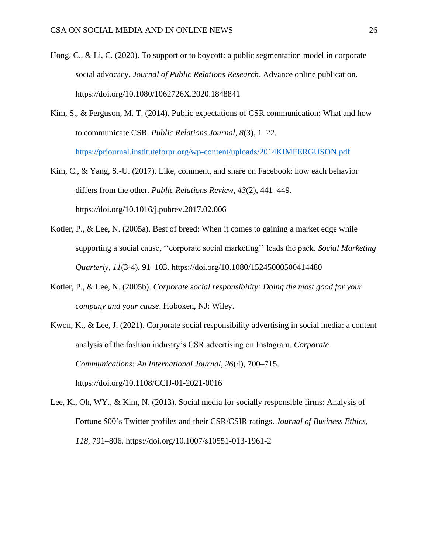- Hong, C., & Li, C. (2020). To support or to boycott: a public segmentation model in corporate social advocacy. *Journal of Public Relations Research*. Advance online publication. https://doi.org/10.1080/1062726X.2020.1848841
- Kim, S., & Ferguson, M. T. (2014). Public expectations of CSR communication: What and how to communicate CSR. *Public Relations Journal, 8*(3), 1–22. <https://prjournal.instituteforpr.org/wp-content/uploads/2014KIMFERGUSON.pdf>
- Kim, C., & Yang, S.-U. (2017). Like, comment, and share on Facebook: how each behavior differs from the other. *Public Relations Review, 43*(2), 441–449. https://doi.org/10.1016/j.pubrev.2017.02.006
- Kotler, P., & Lee, N. (2005a). Best of breed: When it comes to gaining a market edge while supporting a social cause, ''corporate social marketing'' leads the pack. *Social Marketing Quarterly, 11*(3-4), 91–103. https://doi.org/10.1080/15245000500414480
- Kotler, P., & Lee, N. (2005b). *Corporate social responsibility: Doing the most good for your company and your cause*. Hoboken, NJ: Wiley.
- Kwon, K., & Lee, J. (2021). Corporate social responsibility advertising in social media: a content analysis of the fashion industry's CSR advertising on Instagram. *Corporate Communications: An International Journal, 26*(4), 700–715. https://doi.org/10.1108/CCIJ-01-2021-0016
- Lee, K., Oh, WY., & Kim, N. (2013). Social media for socially responsible firms: Analysis of Fortune 500's Twitter profiles and their CSR/CSIR ratings. *Journal of Business Ethics, 118*, 791–806. https://doi.org/10.1007/s10551-013-1961-2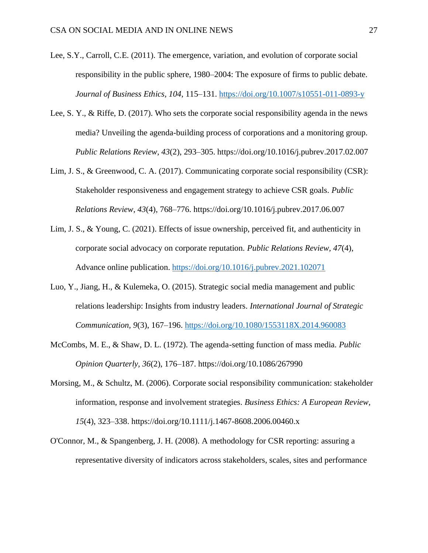- Lee, S.Y., Carroll, C.E. (2011). The emergence, variation, and evolution of corporate social responsibility in the public sphere, 1980–2004: The exposure of firms to public debate. *Journal of Business Ethics, 104*, 115–131.<https://doi.org/10.1007/s10551-011-0893-y>
- Lee, S. Y., & Riffe, D. (2017). Who sets the corporate social responsibility agenda in the news media? Unveiling the agenda-building process of corporations and a monitoring group. *Public Relations Review, 43*(2), 293–305. https://doi.org/10.1016/j.pubrev.2017.02.007
- Lim, J. S., & Greenwood, C. A. (2017). Communicating corporate social responsibility (CSR): Stakeholder responsiveness and engagement strategy to achieve CSR goals. *Public Relations Review, 43*(4), 768–776. https://doi.org/10.1016/j.pubrev.2017.06.007
- Lim, J. S., & Young, C. (2021). Effects of issue ownership, perceived fit, and authenticity in corporate social advocacy on corporate reputation. *Public Relations Review, 47*(4), Advance online publication. <https://doi.org/10.1016/j.pubrev.2021.102071>
- Luo, Y., Jiang, H., & Kulemeka, O. (2015). Strategic social media management and public relations leadership: Insights from industry leaders. *International Journal of Strategic Communication, 9*(3), 167–196. <https://doi.org/10.1080/1553118X.2014.960083>
- McCombs, M. E., & Shaw, D. L. (1972). The agenda-setting function of mass media. *Public Opinion Quarterly, 36*(2), 176–187. https://doi.org/10.1086/267990
- Morsing, M., & Schultz, M. (2006). Corporate social responsibility communication: stakeholder information, response and involvement strategies. *Business Ethics: A European Review, 15*(4), 323–338. https://doi.org/10.1111/j.1467-8608.2006.00460.x
- O'Connor, M., & Spangenberg, J. H. (2008). A methodology for CSR reporting: assuring a representative diversity of indicators across stakeholders, scales, sites and performance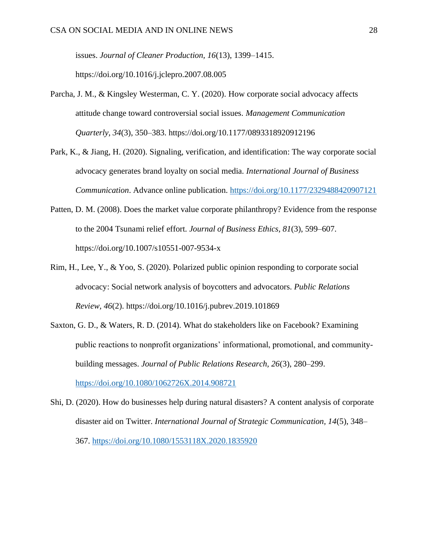issues. *Journal of Cleaner Production, 16*(13), 1399–1415. https://doi.org/10.1016/j.jclepro.2007.08.005

- Parcha, J. M., & Kingsley Westerman, C. Y. (2020). How corporate social advocacy affects attitude change toward controversial social issues. *Management Communication Quarterly, 34*(3), 350–383. https://doi.org/10.1177/0893318920912196
- Park, K., & Jiang, H. (2020). Signaling, verification, and identification: The way corporate social advocacy generates brand loyalty on social media. *International Journal of Business Communication*. Advance online publication.<https://doi.org/10.1177/2329488420907121>
- Patten, D. M. (2008). Does the market value corporate philanthropy? Evidence from the response to the 2004 Tsunami relief effort. *Journal of Business Ethics, 81*(3), 599–607. https://doi.org/10.1007/s10551-007-9534-x
- Rim, H., Lee, Y., & Yoo, S. (2020). Polarized public opinion responding to corporate social advocacy: Social network analysis of boycotters and advocators. *Public Relations Review, 46*(2). https://doi.org/10.1016/j.pubrev.2019.101869
- Saxton, G. D., & Waters, R. D. (2014). What do stakeholders like on Facebook? Examining public reactions to nonprofit organizations' informational, promotional, and communitybuilding messages. *Journal of Public Relations Research, 26*(3), 280–299. <https://doi.org/10.1080/1062726X.2014.908721>
- Shi, D. (2020). How do businesses help during natural disasters? A content analysis of corporate disaster aid on Twitter. *International Journal of Strategic Communication, 14*(5), 348– 367.<https://doi.org/10.1080/1553118X.2020.1835920>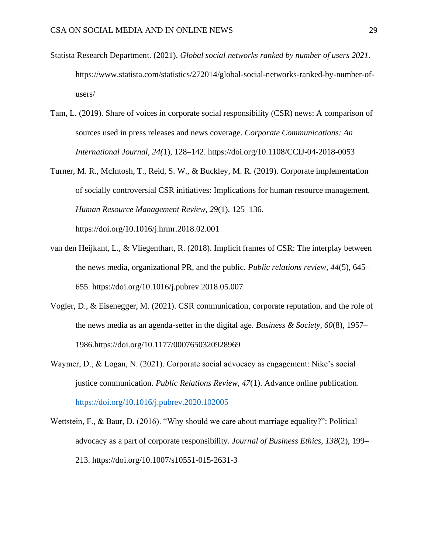- Statista Research Department. (2021). *Global social networks ranked by number of users 2021*. https://www.statista.com/statistics/272014/global-social-networks-ranked-by-number-ofusers/
- Tam, L. (2019). Share of voices in corporate social responsibility (CSR) news: A comparison of sources used in press releases and news coverage. *Corporate Communications: An International Journal, 24(*1), 128–142. https://doi.org/10.1108/CCIJ-04-2018-0053
- Turner, M. R., McIntosh, T., Reid, S. W., & Buckley, M. R. (2019). Corporate implementation of socially controversial CSR initiatives: Implications for human resource management. *Human Resource Management Review, 29*(1), 125–136.

https://doi.org/10.1016/j.hrmr.2018.02.001

- van den Heijkant, L., & Vliegenthart, R. (2018). Implicit frames of CSR: The interplay between the news media, organizational PR, and the public. *Public relations review, 44*(5), 645– 655. https://doi.org/10.1016/j.pubrev.2018.05.007
- Vogler, D., & Eisenegger, M. (2021). CSR communication, corporate reputation, and the role of the news media as an agenda-setter in the digital age. *Business & Society, 60*(8), 1957– 1986.https://doi.org/10.1177/0007650320928969
- Waymer, D., & Logan, N. (2021). Corporate social advocacy as engagement: Nike's social justice communication. *Public Relations Review, 47*(1). Advance online publication. <https://doi.org/10.1016/j.pubrev.2020.102005>
- Wettstein, F., & Baur, D. (2016). "Why should we care about marriage equality?": Political advocacy as a part of corporate responsibility. *Journal of Business Ethics, 138*(2), 199– 213. https://doi.org/10.1007/s10551-015-2631-3